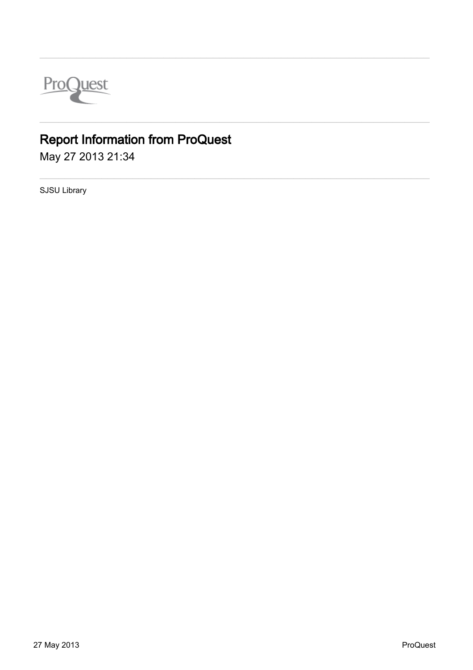

## **Report Information from ProQuest**

May 27 2013 21:34

SJSU Library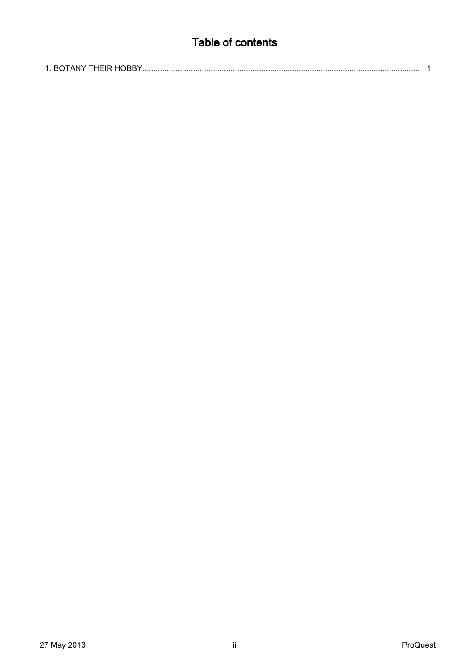## Table of contents

|--|